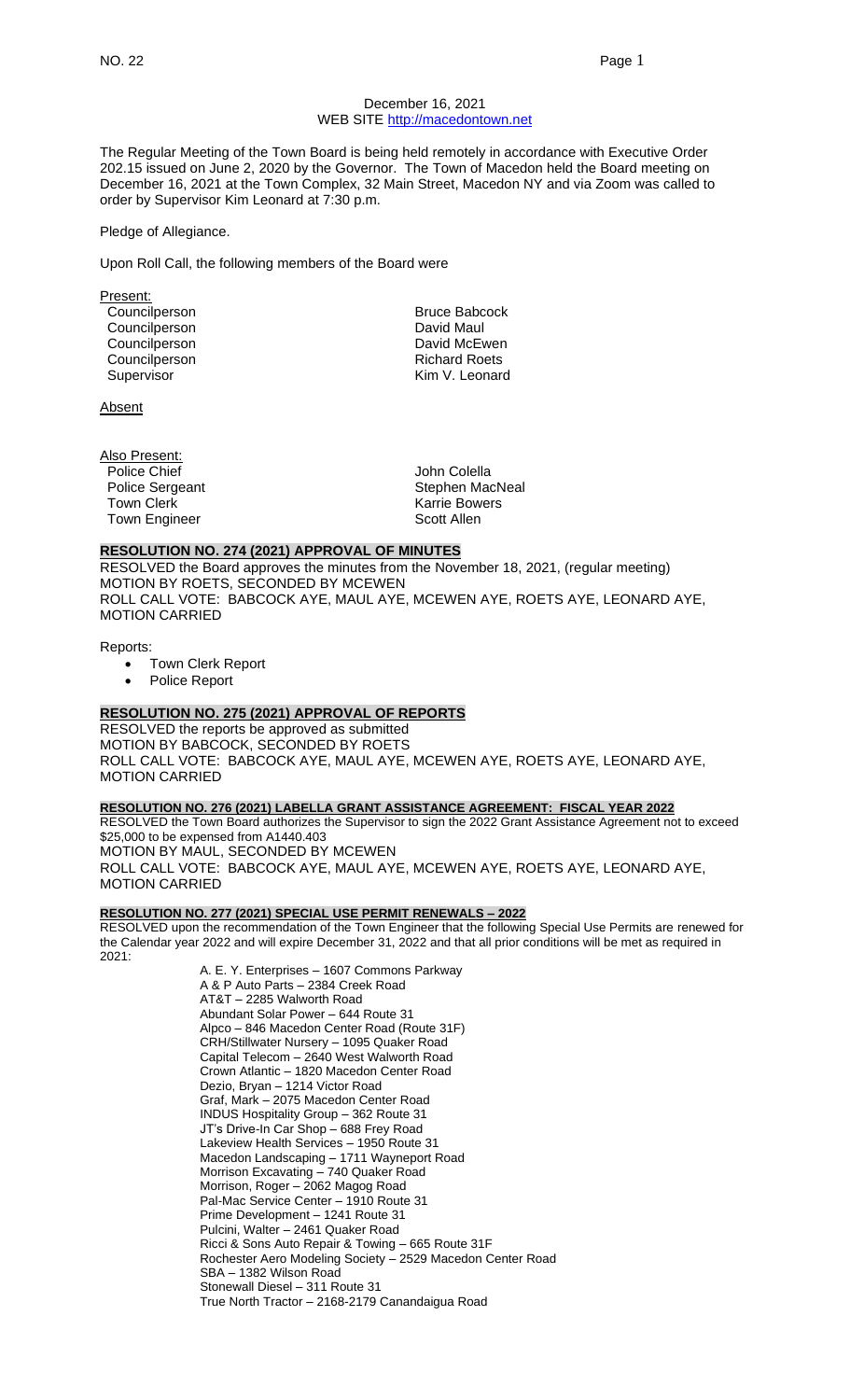#### December 16, 2021 WEB SITE [http://macedontown.net](http://macedontown.net/)

The Regular Meeting of the Town Board is being held remotely in accordance with Executive Order 202.15 issued on June 2, 2020 by the Governor. The Town of Macedon held the Board meeting on December 16, 2021 at the Town Complex, 32 Main Street, Macedon NY and via Zoom was called to order by Supervisor Kim Leonard at 7:30 p.m.

#### Pledge of Allegiance.

Upon Roll Call, the following members of the Board were

Present: Councilperson **Bruce Babcock** Councilperson **David Maul** Councilperson **David McEwen** Councilperson **Richard Roets** Richard Roets Supervisor **Kim V. Leonard** 

**Absent** 

Also Present:<br>Police Chief Town Clerk **Karrie Bowers**<br>Town Engineer **Karrie Bowers** Scott Allen Town Engineer

John Colella Police Sergeant **Stephen MacNeal** 

#### **RESOLUTION NO. 274 (2021) APPROVAL OF MINUTES**

RESOLVED the Board approves the minutes from the November 18, 2021, (regular meeting) MOTION BY ROETS, SECONDED BY MCEWEN ROLL CALL VOTE: BABCOCK AYE, MAUL AYE, MCEWEN AYE, ROETS AYE, LEONARD AYE, MOTION CARRIED

Reports:

- **Town Clerk Report**
- Police Report

#### **RESOLUTION NO. 275 (2021) APPROVAL OF REPORTS**

RESOLVED the reports be approved as submitted MOTION BY BABCOCK, SECONDED BY ROETS ROLL CALL VOTE: BABCOCK AYE, MAUL AYE, MCEWEN AYE, ROETS AYE, LEONARD AYE, MOTION CARRIED

#### **RESOLUTION NO. 276 (2021) LABELLA GRANT ASSISTANCE AGREEMENT: FISCAL YEAR 2022**

RESOLVED the Town Board authorizes the Supervisor to sign the 2022 Grant Assistance Agreement not to exceed \$25,000 to be expensed from A1440.403 MOTION BY MAUL, SECONDED BY MCEWEN ROLL CALL VOTE: BABCOCK AYE, MAUL AYE, MCEWEN AYE, ROETS AYE, LEONARD AYE, MOTION CARRIED

## **RESOLUTION NO. 277 (2021) SPECIAL USE PERMIT RENEWALS – 2022**

RESOLVED upon the recommendation of the Town Engineer that the following Special Use Permits are renewed for the Calendar year 2022 and will expire December 31, 2022 and that all prior conditions will be met as required in 2021:

> A. E. Y. Enterprises – 1607 Commons Parkway A & P Auto Parts – 2384 Creek Road AT&T – 2285 Walworth Road Abundant Solar Power – 644 Route 31 Alpco – 846 Macedon Center Road (Route 31F) CRH/Stillwater Nursery – 1095 Quaker Road Capital Telecom – 2640 West Walworth Road Crown Atlantic – 1820 Macedon Center Road Dezio, Bryan – 1214 Victor Road Graf, Mark – 2075 Macedon Center Road INDUS Hospitality Group – 362 Route 31 JT's Drive-In Car Shop – 688 Frey Road Lakeview Health Services – 1950 Route 31 Macedon Landscaping – 1711 Wayneport Road Morrison Excavating – 740 Quaker Road Morrison, Roger - 2062 Magog Road Pal-Mac Service Center – 1910 Route 31 Prime Development – 1241 Route 31 Pulcini, Walter – 2461 Quaker Road Ricci & Sons Auto Repair & Towing – 665 Route 31F Rochester Aero Modeling Society – 2529 Macedon Center Road SBA – 1382 Wilson Road Stonewall Diesel – 311 Route 31 True North Tractor – 2168-2179 Canandaigua Road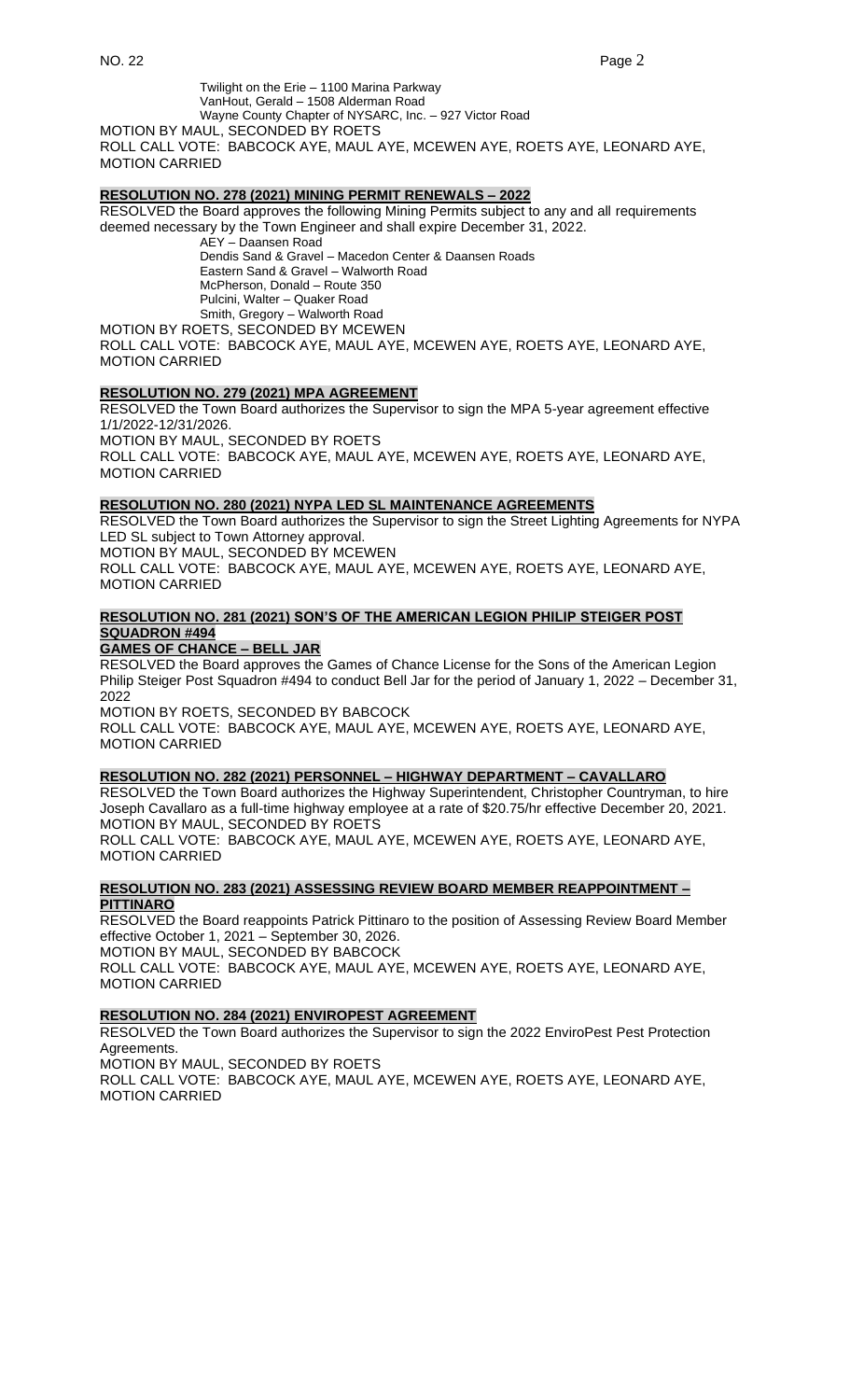Twilight on the Erie – 1100 Marina Parkway VanHout, Gerald – 1508 Alderman Road Wayne County Chapter of NYSARC, Inc. – 927 Victor Road MOTION BY MAUL, SECONDED BY ROETS

ROLL CALL VOTE: BABCOCK AYE, MAUL AYE, MCEWEN AYE, ROETS AYE, LEONARD AYE, MOTION CARRIED

#### **RESOLUTION NO. 278 (2021) MINING PERMIT RENEWALS – 2022**

RESOLVED the Board approves the following Mining Permits subject to any and all requirements deemed necessary by the Town Engineer and shall expire December 31, 2022.

AEY – Daansen Road Dendis Sand & Gravel – Macedon Center & Daansen Roads Eastern Sand & Gravel – Walworth Road McPherson, Donald – Route 350 Pulcini, Walter – Quaker Road Smith, Gregory – Walworth Road MOTION BY ROETS, SECONDED BY MCEWEN ROLL CALL VOTE: BABCOCK AYE, MAUL AYE, MCEWEN AYE, ROETS AYE, LEONARD AYE, MOTION CARRIED

## **RESOLUTION NO. 279 (2021) MPA AGREEMENT**

RESOLVED the Town Board authorizes the Supervisor to sign the MPA 5-year agreement effective 1/1/2022-12/31/2026. MOTION BY MAUL, SECONDED BY ROETS ROLL CALL VOTE: BABCOCK AYE, MAUL AYE, MCEWEN AYE, ROETS AYE, LEONARD AYE, MOTION CARRIED

## **RESOLUTION NO. 280 (2021) NYPA LED SL MAINTENANCE AGREEMENTS**

RESOLVED the Town Board authorizes the Supervisor to sign the Street Lighting Agreements for NYPA LED SL subject to Town Attorney approval. MOTION BY MAUL, SECONDED BY MCEWEN

ROLL CALL VOTE: BABCOCK AYE, MAUL AYE, MCEWEN AYE, ROETS AYE, LEONARD AYE, MOTION CARRIED

# **RESOLUTION NO. 281 (2021) SON'S OF THE AMERICAN LEGION PHILIP STEIGER POST SQUADRON #494**

## **GAMES OF CHANCE – BELL JAR**

RESOLVED the Board approves the Games of Chance License for the Sons of the American Legion Philip Steiger Post Squadron #494 to conduct Bell Jar for the period of January 1, 2022 – December 31, 2022

MOTION BY ROETS, SECONDED BY BABCOCK ROLL CALL VOTE: BABCOCK AYE, MAUL AYE, MCEWEN AYE, ROETS AYE, LEONARD AYE, MOTION CARRIED

# **RESOLUTION NO. 282 (2021) PERSONNEL – HIGHWAY DEPARTMENT – CAVALLARO**

RESOLVED the Town Board authorizes the Highway Superintendent, Christopher Countryman, to hire Joseph Cavallaro as a full-time highway employee at a rate of \$20.75/hr effective December 20, 2021. MOTION BY MAUL, SECONDED BY ROETS ROLL CALL VOTE: BABCOCK AYE, MAUL AYE, MCEWEN AYE, ROETS AYE, LEONARD AYE, MOTION CARRIED

### **RESOLUTION NO. 283 (2021) ASSESSING REVIEW BOARD MEMBER REAPPOINTMENT – PITTINARO**

RESOLVED the Board reappoints Patrick Pittinaro to the position of Assessing Review Board Member effective October 1, 2021 – September 30, 2026.

MOTION BY MAUL, SECONDED BY BABCOCK ROLL CALL VOTE: BABCOCK AYE, MAUL AYE, MCEWEN AYE, ROETS AYE, LEONARD AYE, MOTION CARRIED

# **RESOLUTION NO. 284 (2021) ENVIROPEST AGREEMENT**

RESOLVED the Town Board authorizes the Supervisor to sign the 2022 EnviroPest Pest Protection Agreements.

MOTION BY MAUL, SECONDED BY ROETS ROLL CALL VOTE: BABCOCK AYE, MAUL AYE, MCEWEN AYE, ROETS AYE, LEONARD AYE, MOTION CARRIED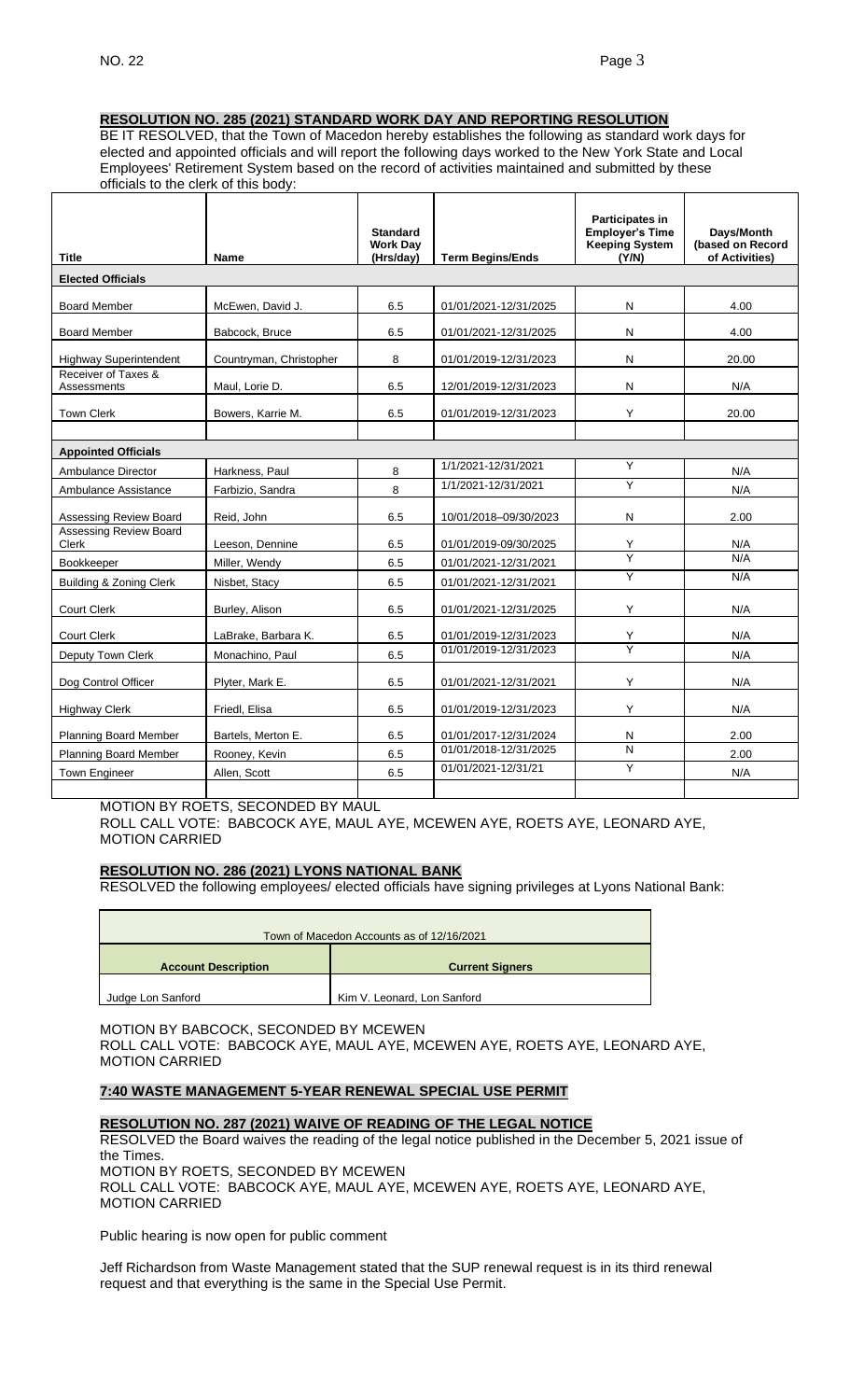# **RESOLUTION NO. 285 (2021) STANDARD WORK DAY AND REPORTING RESOLUTION**

BE IT RESOLVED, that the Town of Macedon hereby establishes the following as standard work days for elected and appointed officials and will report the following days worked to the New York State and Local Employees' Retirement System based on the record of activities maintained and submitted by these officials to the clerk of this body:

| <b>Title</b>                       | <b>Name</b>             | <b>Standard</b><br><b>Work Dav</b><br>(Hrs/day) | <b>Term Begins/Ends</b> | <b>Participates in</b><br><b>Employer's Time</b><br><b>Keeping System</b><br>(Y/N) | Days/Month<br>(based on Record<br>of Activities) |  |
|------------------------------------|-------------------------|-------------------------------------------------|-------------------------|------------------------------------------------------------------------------------|--------------------------------------------------|--|
| <b>Elected Officials</b>           |                         |                                                 |                         |                                                                                    |                                                  |  |
| <b>Board Member</b>                | McEwen, David J.        | 6.5                                             | 01/01/2021-12/31/2025   | N                                                                                  | 4.00                                             |  |
| <b>Board Member</b>                | Babcock, Bruce          | 6.5                                             | 01/01/2021-12/31/2025   | N                                                                                  | 4.00                                             |  |
| <b>Highway Superintendent</b>      | Countryman, Christopher | 8                                               | 01/01/2019-12/31/2023   | N                                                                                  | 20.00                                            |  |
| Receiver of Taxes &<br>Assessments | Maul, Lorie D.          | 6.5                                             | 12/01/2019-12/31/2023   | N                                                                                  | N/A                                              |  |
| <b>Town Clerk</b>                  | Bowers, Karrie M.       | 6.5                                             | 01/01/2019-12/31/2023   | Y                                                                                  | 20.00                                            |  |
| <b>Appointed Officials</b>         |                         |                                                 |                         |                                                                                    |                                                  |  |
| Ambulance Director                 | Harkness, Paul          | 8                                               | 1/1/2021-12/31/2021     | Y                                                                                  | N/A                                              |  |
| Ambulance Assistance               | Farbizio, Sandra        | 8                                               | 1/1/2021-12/31/2021     | Y                                                                                  | N/A                                              |  |
| Assessing Review Board             | Reid, John              | 6.5                                             | 10/01/2018-09/30/2023   | N                                                                                  | 2.00                                             |  |
| Assessing Review Board<br>Clerk    | Leeson, Dennine         | 6.5                                             | 01/01/2019-09/30/2025   | Y                                                                                  | N/A                                              |  |
| Bookkeeper                         | Miller, Wendy           | 6.5                                             | 01/01/2021-12/31/2021   | Ÿ                                                                                  | N/A                                              |  |
| Building & Zoning Clerk            | Nisbet, Stacy           | 6.5                                             | 01/01/2021-12/31/2021   | Y                                                                                  | N/A                                              |  |
| Court Clerk                        | Burley, Alison          | 6.5                                             | 01/01/2021-12/31/2025   | Y                                                                                  | N/A                                              |  |
| Court Clerk                        | LaBrake, Barbara K.     | 6.5                                             | 01/01/2019-12/31/2023   | Y                                                                                  | N/A                                              |  |
| Deputy Town Clerk                  | Monachino, Paul         | 6.5                                             | 01/01/2019-12/31/2023   | Y                                                                                  | N/A                                              |  |
| Dog Control Officer                | Plyter, Mark E.         | 6.5                                             | 01/01/2021-12/31/2021   | Y                                                                                  | N/A                                              |  |
| <b>Highway Clerk</b>               | Friedl, Elisa           | 6.5                                             | 01/01/2019-12/31/2023   | Υ                                                                                  | N/A                                              |  |
| <b>Planning Board Member</b>       | Bartels, Merton E.      | 6.5                                             | 01/01/2017-12/31/2024   | Ν                                                                                  | 2.00                                             |  |
| <b>Planning Board Member</b>       | Rooney, Kevin           | 6.5                                             | 01/01/2018-12/31/2025   | N                                                                                  | 2.00                                             |  |
| Town Engineer                      | Allen, Scott            | 6.5                                             | 01/01/2021-12/31/21     | Y                                                                                  | N/A                                              |  |
|                                    |                         |                                                 |                         |                                                                                    |                                                  |  |

MOTION BY ROETS, SECONDED BY MAUL

ROLL CALL VOTE: BABCOCK AYE, MAUL AYE, MCEWEN AYE, ROETS AYE, LEONARD AYE, MOTION CARRIED

# **RESOLUTION NO. 286 (2021) LYONS NATIONAL BANK**

RESOLVED the following employees/ elected officials have signing privileges at Lyons National Bank:

| Town of Macedon Accounts as of 12/16/2021 |                             |  |  |  |
|-------------------------------------------|-----------------------------|--|--|--|
| <b>Account Description</b>                | <b>Current Signers</b>      |  |  |  |
| Judge Lon Sanford                         | Kim V. Leonard, Lon Sanford |  |  |  |

MOTION BY BABCOCK, SECONDED BY MCEWEN ROLL CALL VOTE: BABCOCK AYE, MAUL AYE, MCEWEN AYE, ROETS AYE, LEONARD AYE, MOTION CARRIED

### **7:40 WASTE MANAGEMENT 5-YEAR RENEWAL SPECIAL USE PERMIT**

#### **RESOLUTION NO. 287 (2021) WAIVE OF READING OF THE LEGAL NOTICE**

RESOLVED the Board waives the reading of the legal notice published in the December 5, 2021 issue of the Times. MOTION BY ROETS, SECONDED BY MCEWEN

ROLL CALL VOTE: BABCOCK AYE, MAUL AYE, MCEWEN AYE, ROETS AYE, LEONARD AYE, MOTION CARRIED

Public hearing is now open for public comment

Jeff Richardson from Waste Management stated that the SUP renewal request is in its third renewal request and that everything is the same in the Special Use Permit.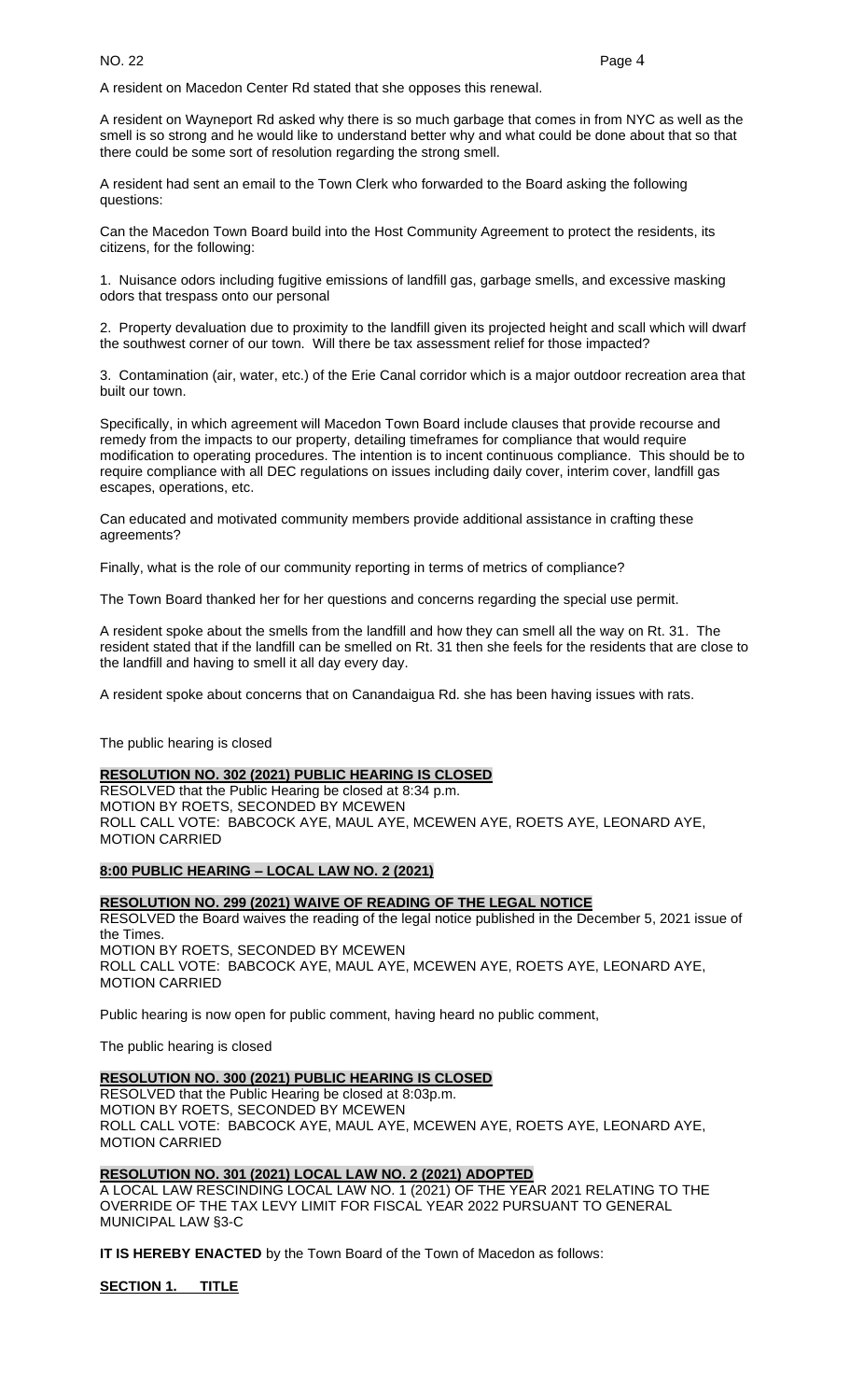A resident on Macedon Center Rd stated that she opposes this renewal.

A resident on Wayneport Rd asked why there is so much garbage that comes in from NYC as well as the smell is so strong and he would like to understand better why and what could be done about that so that there could be some sort of resolution regarding the strong smell.

A resident had sent an email to the Town Clerk who forwarded to the Board asking the following questions:

Can the Macedon Town Board build into the Host Community Agreement to protect the residents, its citizens, for the following:

1. Nuisance odors including fugitive emissions of landfill gas, garbage smells, and excessive masking odors that trespass onto our personal

2. Property devaluation due to proximity to the landfill given its projected height and scall which will dwarf the southwest corner of our town. Will there be tax assessment relief for those impacted?

3. Contamination (air, water, etc.) of the Erie Canal corridor which is a major outdoor recreation area that built our town.

Specifically, in which agreement will Macedon Town Board include clauses that provide recourse and remedy from the impacts to our property, detailing timeframes for compliance that would require modification to operating procedures. The intention is to incent continuous compliance. This should be to require compliance with all DEC regulations on issues including daily cover, interim cover, landfill gas escapes, operations, etc.

Can educated and motivated community members provide additional assistance in crafting these agreements?

Finally, what is the role of our community reporting in terms of metrics of compliance?

The Town Board thanked her for her questions and concerns regarding the special use permit.

A resident spoke about the smells from the landfill and how they can smell all the way on Rt. 31. The resident stated that if the landfill can be smelled on Rt. 31 then she feels for the residents that are close to the landfill and having to smell it all day every day.

A resident spoke about concerns that on Canandaigua Rd. she has been having issues with rats.

The public hearing is closed

#### **RESOLUTION NO. 302 (2021) PUBLIC HEARING IS CLOSED**

RESOLVED that the Public Hearing be closed at 8:34 p.m. MOTION BY ROETS, SECONDED BY MCEWEN ROLL CALL VOTE: BABCOCK AYE, MAUL AYE, MCEWEN AYE, ROETS AYE, LEONARD AYE, MOTION CARRIED

# **8:00 PUBLIC HEARING – LOCAL LAW NO. 2 (2021)**

#### **RESOLUTION NO. 299 (2021) WAIVE OF READING OF THE LEGAL NOTICE**

RESOLVED the Board waives the reading of the legal notice published in the December 5, 2021 issue of the Times. MOTION BY ROETS, SECONDED BY MCEWEN ROLL CALL VOTE: BABCOCK AYE, MAUL AYE, MCEWEN AYE, ROETS AYE, LEONARD AYE, MOTION CARRIED

Public hearing is now open for public comment, having heard no public comment,

The public hearing is closed

# **RESOLUTION NO. 300 (2021) PUBLIC HEARING IS CLOSED**

RESOLVED that the Public Hearing be closed at 8:03p.m. MOTION BY ROETS, SECONDED BY MCEWEN ROLL CALL VOTE: BABCOCK AYE, MAUL AYE, MCEWEN AYE, ROETS AYE, LEONARD AYE, MOTION CARRIED

#### **RESOLUTION NO. 301 (2021) LOCAL LAW NO. 2 (2021) ADOPTED**

A LOCAL LAW RESCINDING LOCAL LAW NO. 1 (2021) OF THE YEAR 2021 RELATING TO THE OVERRIDE OF THE TAX LEVY LIMIT FOR FISCAL YEAR 2022 PURSUANT TO GENERAL MUNICIPAL LAW §3-C

**IT IS HEREBY ENACTED** by the Town Board of the Town of Macedon as follows:

**SECTION 1. TITLE**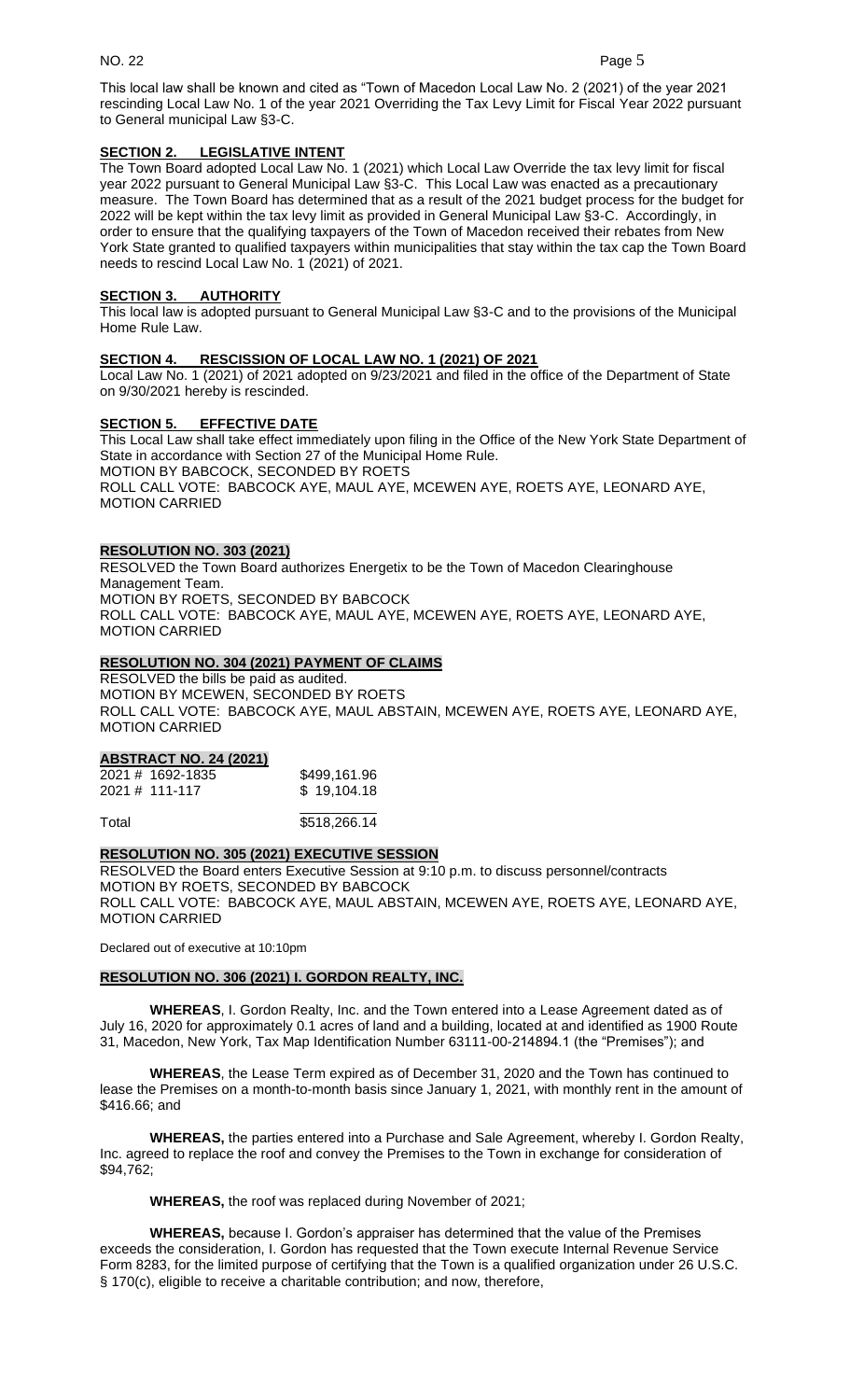This local law shall be known and cited as "Town of Macedon Local Law No. 2 (2021) of the year 2021 rescinding Local Law No. 1 of the year 2021 Overriding the Tax Levy Limit for Fiscal Year 2022 pursuant to General municipal Law §3-C.

# **SECTION 2. LEGISLATIVE INTENT**

The Town Board adopted Local Law No. 1 (2021) which Local Law Override the tax levy limit for fiscal year 2022 pursuant to General Municipal Law §3-C. This Local Law was enacted as a precautionary measure. The Town Board has determined that as a result of the 2021 budget process for the budget for 2022 will be kept within the tax levy limit as provided in General Municipal Law §3-C. Accordingly, in order to ensure that the qualifying taxpayers of the Town of Macedon received their rebates from New York State granted to qualified taxpayers within municipalities that stay within the tax cap the Town Board needs to rescind Local Law No. 1 (2021) of 2021.

## **SECTION 3. AUTHORITY**

This local law is adopted pursuant to General Municipal Law §3-C and to the provisions of the Municipal Home Rule Law.

# **SECTION 4. RESCISSION OF LOCAL LAW NO. 1 (2021) OF 2021**

Local Law No. 1 (2021) of 2021 adopted on 9/23/2021 and filed in the office of the Department of State on 9/30/2021 hereby is rescinded.

# **SECTION 5. EFFECTIVE DATE**

This Local Law shall take effect immediately upon filing in the Office of the New York State Department of State in accordance with Section 27 of the Municipal Home Rule. MOTION BY BABCOCK, SECONDED BY ROETS ROLL CALL VOTE: BABCOCK AYE, MAUL AYE, MCEWEN AYE, ROETS AYE, LEONARD AYE, MOTION CARRIED

# **RESOLUTION NO. 303 (2021)**

RESOLVED the Town Board authorizes Energetix to be the Town of Macedon Clearinghouse Management Team. MOTION BY ROETS, SECONDED BY BABCOCK ROLL CALL VOTE: BABCOCK AYE, MAUL AYE, MCEWEN AYE, ROETS AYE, LEONARD AYE, MOTION CARRIED

# **RESOLUTION NO. 304 (2021) PAYMENT OF CLAIMS**

RESOLVED the bills be paid as audited. MOTION BY MCEWEN, SECONDED BY ROETS ROLL CALL VOTE: BABCOCK AYE, MAUL ABSTAIN, MCEWEN AYE, ROETS AYE, LEONARD AYE, MOTION CARRIED

## **ABSTRACT NO. 24 (2021)**

| 2021 # 1692-1835 | \$499,161.96 |
|------------------|--------------|
| 2021 # 111-117   | \$19,104.18  |
|                  |              |

Total 5518,266.14

# **RESOLUTION NO. 305 (2021) EXECUTIVE SESSION**

RESOLVED the Board enters Executive Session at 9:10 p.m. to discuss personnel/contracts MOTION BY ROETS, SECONDED BY BABCOCK ROLL CALL VOTE: BABCOCK AYE, MAUL ABSTAIN, MCEWEN AYE, ROETS AYE, LEONARD AYE, MOTION CARRIED

Declared out of executive at 10:10pm

## **RESOLUTION NO. 306 (2021) I. GORDON REALTY, INC.**

**WHEREAS**, I. Gordon Realty, Inc. and the Town entered into a Lease Agreement dated as of July 16, 2020 for approximately 0.1 acres of land and a building, located at and identified as 1900 Route 31, Macedon, New York, Tax Map Identification Number 63111-00-214894.1 (the "Premises"); and

**WHEREAS**, the Lease Term expired as of December 31, 2020 and the Town has continued to lease the Premises on a month-to-month basis since January 1, 2021, with monthly rent in the amount of \$416.66; and

**WHEREAS,** the parties entered into a Purchase and Sale Agreement, whereby I. Gordon Realty, Inc. agreed to replace the roof and convey the Premises to the Town in exchange for consideration of \$94,762;

**WHEREAS,** the roof was replaced during November of 2021;

**WHEREAS,** because I. Gordon's appraiser has determined that the value of the Premises exceeds the consideration, I. Gordon has requested that the Town execute Internal Revenue Service Form 8283, for the limited purpose of certifying that the Town is a qualified organization under 26 U.S.C. § 170(c), eligible to receive a charitable contribution; and now, therefore,